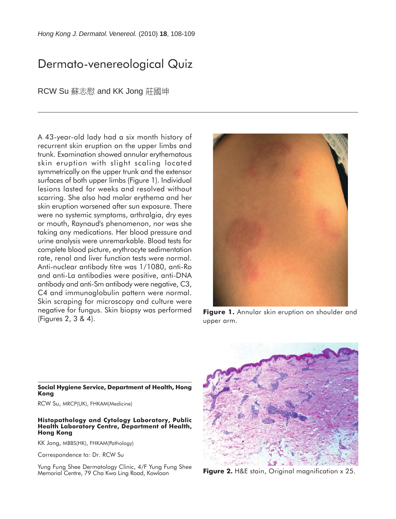# Dermato-venereological Quiz

RCW Su 蘇志慰 and KK Jong 莊國坤

A 43-year-old lady had a six month history of recurrent skin eruption on the upper limbs and trunk. Examination showed annular erythematous skin eruption with slight scaling located symmetrically on the upper trunk and the extensor surfaces of both upper limbs (Figure 1). Individual lesions lasted for weeks and resolved without scarring. She also had malar erythema and her skin eruption worsened after sun exposure. There were no systemic symptoms, arthralgia, dry eyes or mouth, Raynaud's phenomenon, nor was she taking any medications. Her blood pressure and urine analysis were unremarkable. Blood tests for complete blood picture, erythrocyte sedimentation rate, renal and liver function tests were normal. Anti-nuclear antibody titre was 1/1080, anti-Ro and anti-La antibodies were positive, anti-DNA antibody and anti-Sm antibody were negative, C3, C4 and immunoglobulin pattern were normal. Skin scraping for microscopy and culture were negative for fungus. Skin biopsy was performed (Figures 2, 3 & 4).



**Figure 1.** Annular skin eruption on shoulder and upper arm.



**Figure 2.** H&E stain, Original magnification x 25.

#### **Social Hygiene Service, Department of Health, Hong Kong**

RCW Su, MRCP(UK), FHKAM(Medicine)

#### **Histopathology and Cytology Laboratory, Public Health Laboratory Centre, Department of Health, Hong Kong**

KK Jong, MBBS(HK), FHKAM(Pathology)

Correspondence to: Dr. RCW Su

Yung Fung Shee Dermatology Clinic, 4/F Yung Fung Shee Memorial Centre, 79 Cha Kwo Ling Road, Kowloon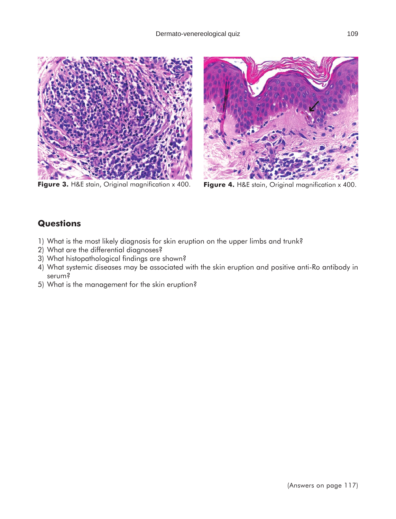

**Figure 3.** H&E stain, Original magnification x 400. **Figure 4.** H&E stain, Original magnification x 400.



## **Questions**

- 1) What is the most likely diagnosis for skin eruption on the upper limbs and trunk?
- 2) What are the differential diagnoses?
- 3) What histopathological findings are shown?
- 4) What systemic diseases may be associated with the skin eruption and positive anti-Ro antibody in serum?
- 5) What is the management for the skin eruption?